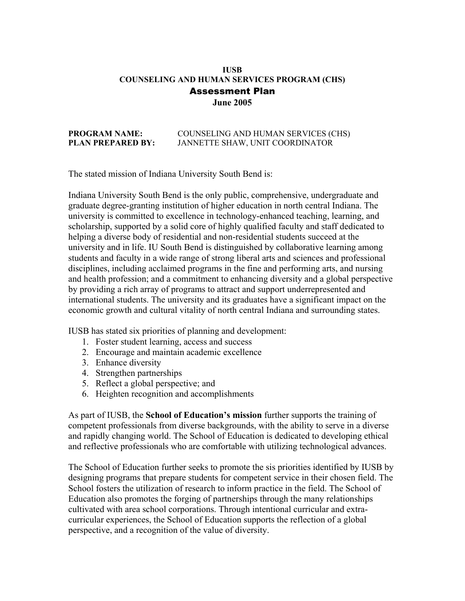### Assessment Plan **IUSB COUNSELING AND HUMAN SERVICES PROGRAM (CHS) June 2005**

#### **PROGRAM NAME: PROGRAM COUNSELING AND HUMAN SERVICES (CHS) PLAN PREPARED BY:** JANNETTE SHAW, UNIT COORDINATOR

The stated mission of Indiana University South Bend is:

Indiana University South Bend is the only public, comprehensive, undergraduate and graduate degree-granting institution of higher education in north central Indiana. The university is committed to excellence in technology-enhanced teaching, learning, and scholarship, supported by a solid core of highly qualified faculty and staff dedicated to helping a diverse body of residential and non-residential students succeed at the university and in life. IU South Bend is distinguished by collaborative learning among students and faculty in a wide range of strong liberal arts and sciences and professional disciplines, including acclaimed programs in the fine and performing arts, and nursing and health profession; and a commitment to enhancing diversity and a global perspective by providing a rich array of programs to attract and support underrepresented and international students. The university and its graduates have a significant impact on the economic growth and cultural vitality of north central Indiana and surrounding states.

IUSB has stated six priorities of planning and development:

- 1. Foster student learning, access and success
- 2. Encourage and maintain academic excellence
- 3. Enhance diversity
- 4. Strengthen partnerships
- 5. Reflect a global perspective; and
- 6. Heighten recognition and accomplishments

As part of IUSB, the **School of Education's mission** further supports the training of competent professionals from diverse backgrounds, with the ability to serve in a diverse and rapidly changing world. The School of Education is dedicated to developing ethical and reflective professionals who are comfortable with utilizing technological advances.

The School of Education further seeks to promote the sis priorities identified by IUSB by designing programs that prepare students for competent service in their chosen field. The School fosters the utilization of research to inform practice in the field. The School of Education also promotes the forging of partnerships through the many relationships cultivated with area school corporations. Through intentional curricular and extracurricular experiences, the School of Education supports the reflection of a global perspective, and a recognition of the value of diversity.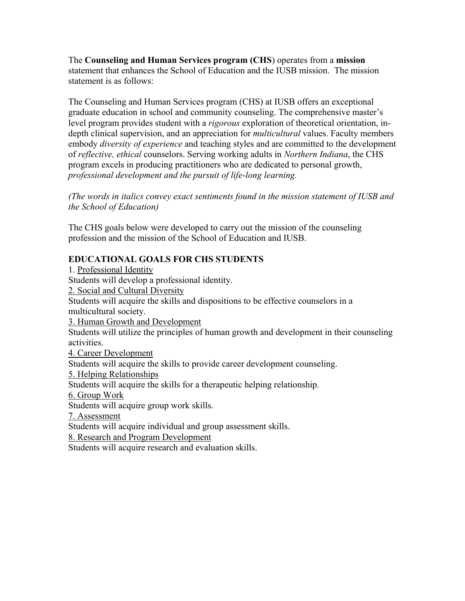The **Counseling and Human Services program (CHS**) operates from a **mission**  statement that enhances the School of Education and the IUSB mission. The mission statement is as follows:

The Counseling and Human Services program (CHS) at IUSB offers an exceptional graduate education in school and community counseling. The comprehensive master's level program provides student with a *rigorous* exploration of theoretical orientation, indepth clinical supervision, and an appreciation for *multicultural* values. Faculty members embody *diversity of experience* and teaching styles and are committed to the development of *reflective, ethical* counselors. Serving working adults in *Northern Indiana*, the CHS program excels in producing practitioners who are dedicated to personal growth, *professional development and the pursuit of life-long learning.* 

*(The words in italics convey exact sentiments found in the mission statement of IUSB and the School of Education)* 

The CHS goals below were developed to carry out the mission of the counseling profession and the mission of the School of Education and IUSB.

# **EDUCATIONAL GOALS FOR CHS STUDENTS**

1. Professional Identity Students will develop a professional identity. 2. Social and Cultural Diversity Students will acquire the skills and dispositions to be effective counselors in a multicultural society. 3. Human Growth and Development Students will utilize the principles of human growth and development in their counseling activities. 4. Career Development Students will acquire the skills to provide career development counseling. 5. Helping Relationships Students will acquire the skills for a therapeutic helping relationship. 6. Group Work Students will acquire group work skills. 7. Assessment Students will acquire individual and group assessment skills. 8. Research and Program Development Students will acquire research and evaluation skills.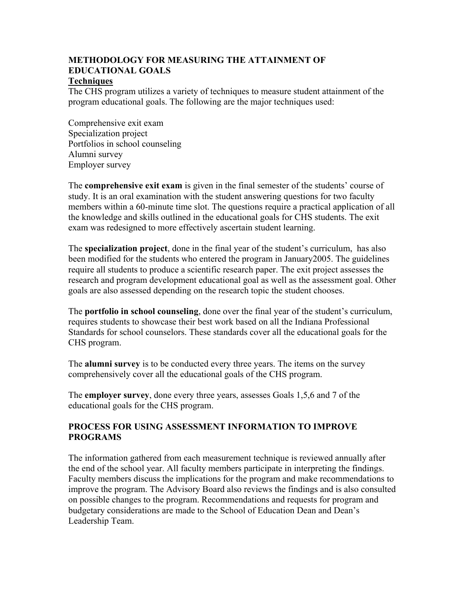# **METHODOLOGY FOR MEASURING THE ATTAINMENT OF EDUCATIONAL GOALS**

### **Techniques**

The CHS program utilizes a variety of techniques to measure student attainment of the program educational goals. The following are the major techniques used:

Comprehensive exit exam Specialization project Portfolios in school counseling Alumni survey Employer survey

The **comprehensive exit exam** is given in the final semester of the students' course of study. It is an oral examination with the student answering questions for two faculty members within a 60-minute time slot. The questions require a practical application of all the knowledge and skills outlined in the educational goals for CHS students. The exit exam was redesigned to more effectively ascertain student learning.

 The **specialization project**, done in the final year of the student's curriculum, has also been modified for the students who entered the program in January2005. The guidelines require all students to produce a scientific research paper. The exit project assesses the research and program development educational goal as well as the assessment goal. Other goals are also assessed depending on the research topic the student chooses.

The **portfolio in school counseling**, done over the final year of the student's curriculum, requires students to showcase their best work based on all the Indiana Professional Standards for school counselors. These standards cover all the educational goals for the CHS program.

The **alumni survey** is to be conducted every three years. The items on the survey comprehensively cover all the educational goals of the CHS program.

The **employer survey**, done every three years, assesses Goals 1,5,6 and 7 of the educational goals for the CHS program.

### **PROCESS FOR USING ASSESSMENT INFORMATION TO IMPROVE PROGRAMS**

The information gathered from each measurement technique is reviewed annually after the end of the school year. All faculty members participate in interpreting the findings. Faculty members discuss the implications for the program and make recommendations to improve the program. The Advisory Board also reviews the findings and is also consulted on possible changes to the program. Recommendations and requests for program and budgetary considerations are made to the School of Education Dean and Dean's Leadership Team.